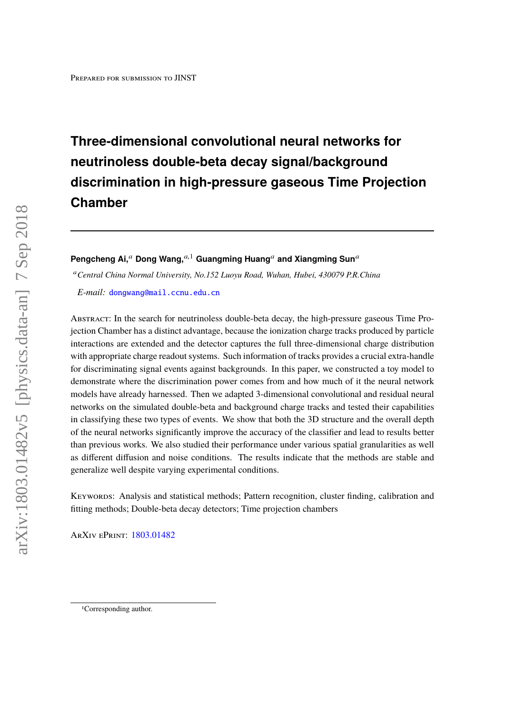# **Three-dimensional convolutional neural networks for neutrinoless double-beta decay signal/background discrimination in high-pressure gaseous Time Projection Chamber**

# **Pengcheng Ai,<sup>a</sup> Dong Wang,** $a,1$  Guangming Huang<sup>a</sup> and Xiangming Sun<sup>a</sup>

<sup>a</sup>*Central China Normal University, No.152 Luoyu Road, Wuhan, Hubei, 430079 P.R.China E-mail:* [dongwang@mail.ccnu.edu.cn](mailto:dongwang@mail.ccnu.edu.cn)

Abstract: In the search for neutrinoless double-beta decay, the high-pressure gaseous Time Projection Chamber has a distinct advantage, because the ionization charge tracks produced by particle interactions are extended and the detector captures the full three-dimensional charge distribution with appropriate charge readout systems. Such information of tracks provides a crucial extra-handle for discriminating signal events against backgrounds. In this paper, we constructed a toy model to demonstrate where the discrimination power comes from and how much of it the neural network models have already harnessed. Then we adapted 3-dimensional convolutional and residual neural networks on the simulated double-beta and background charge tracks and tested their capabilities in classifying these two types of events. We show that both the 3D structure and the overall depth of the neural networks significantly improve the accuracy of the classifier and lead to results better than previous works. We also studied their performance under various spatial granularities as well as different diffusion and noise conditions. The results indicate that the methods are stable and generalize well despite varying experimental conditions.

KEYWORDS: Analysis and statistical methods; Pattern recognition, cluster finding, calibration and fitting methods; Double-beta decay detectors; Time projection chambers

ArXiv ePrint: [1803.01482](http://arxiv.org/abs/1803.01482)

<sup>1</sup>Corresponding author.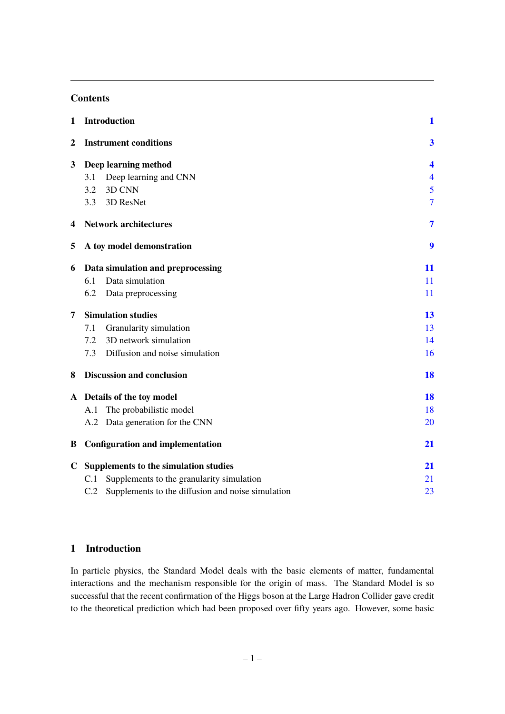## **Contents**

| 1              | <b>Introduction</b>                                   | $\mathbf{1}$            |
|----------------|-------------------------------------------------------|-------------------------|
| $\overline{2}$ | <b>Instrument conditions</b>                          | $\overline{\mathbf{3}}$ |
| 3              | Deep learning method                                  | $\boldsymbol{4}$        |
|                | Deep learning and CNN<br>3.1                          | $\overline{4}$          |
|                | 3D CNN<br>3.2                                         | 5                       |
|                | 3D ResNet<br>3.3                                      | $\overline{7}$          |
| 4              | <b>Network architectures</b>                          | $\overline{7}$          |
| 5              | A toy model demonstration                             | 9                       |
| 6              | Data simulation and preprocessing                     | 11                      |
|                | 6.1<br>Data simulation                                | 11                      |
|                | 6.2<br>Data preprocessing                             | 11                      |
| 7              | <b>Simulation studies</b>                             | 13                      |
|                | Granularity simulation<br>7.1                         | 13                      |
|                | 3D network simulation<br>7.2                          | 14                      |
|                | 7.3<br>Diffusion and noise simulation                 | 16                      |
| 8              | <b>Discussion and conclusion</b>                      | 18                      |
| A              | Details of the toy model                              | 18                      |
|                | The probabilistic model<br>A.1                        | 18                      |
|                | Data generation for the CNN<br>A.2                    | 20                      |
| B              | <b>Configuration and implementation</b>               | 21                      |
|                | C Supplements to the simulation studies               | 21                      |
|                | Supplements to the granularity simulation<br>C.1      | 21                      |
|                | C.2 Supplements to the diffusion and noise simulation | 23                      |
|                |                                                       |                         |

# <span id="page-1-0"></span>**1 Introduction**

In particle physics, the Standard Model deals with the basic elements of matter, fundamental interactions and the mechanism responsible for the origin of mass. The Standard Model is so successful that the recent confirmation of the Higgs boson at the Large Hadron Collider gave credit to the theoretical prediction which had been proposed over fifty years ago. However, some basic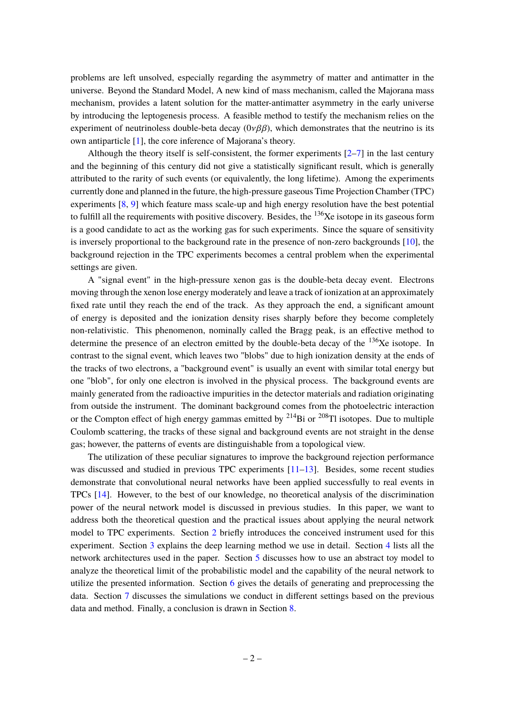problems are left unsolved, especially regarding the asymmetry of matter and antimatter in the universe. Beyond the Standard Model, A new kind of mass mechanism, called the Majorana mass mechanism, provides a latent solution for the matter-antimatter asymmetry in the early universe by introducing the leptogenesis process. A feasible method to testify the mechanism relies on the experiment of neutrinoless double-beta decay  $(0\nu\beta\beta)$ , which demonstrates that the neutrino is its own antiparticle [\[1\]](#page-23-1), the core inference of Majorana's theory.

Although the theory itself is self-consistent, the former experiments  $[2-7]$  $[2-7]$  in the last century and the beginning of this century did not give a statistically significant result, which is generally attributed to the rarity of such events (or equivalently, the long lifetime). Among the experiments currently done and planned in the future, the high-pressure gaseous Time Projection Chamber (TPC) experiments [\[8,](#page-24-1) [9\]](#page-24-2) which feature mass scale-up and high energy resolution have the best potential to fulfill all the requirements with positive discovery. Besides, the  $136Xe$  isotope in its gaseous form is a good candidate to act as the working gas for such experiments. Since the square of sensitivity is inversely proportional to the background rate in the presence of non-zero backgrounds  $[10]$ , the background rejection in the TPC experiments becomes a central problem when the experimental settings are given.

A "signal event" in the high-pressure xenon gas is the double-beta decay event. Electrons moving through the xenon lose energy moderately and leave a track of ionization at an approximately fixed rate until they reach the end of the track. As they approach the end, a significant amount of energy is deposited and the ionization density rises sharply before they become completely non-relativistic. This phenomenon, nominally called the Bragg peak, is an effective method to determine the presence of an electron emitted by the double-beta decay of the  $136Xe$  isotope. In contrast to the signal event, which leaves two "blobs" due to high ionization density at the ends of the tracks of two electrons, a "background event" is usually an event with similar total energy but one "blob", for only one electron is involved in the physical process. The background events are mainly generated from the radioactive impurities in the detector materials and radiation originating from outside the instrument. The dominant background comes from the photoelectric interaction or the Compton effect of high energy gammas emitted by  $^{214}$ Bi or  $^{208}$ Tl isotopes. Due to multiple Coulomb scattering, the tracks of these signal and background events are not straight in the dense gas; however, the patterns of events are distinguishable from a topological view.

The utilization of these peculiar signatures to improve the background rejection performance was discussed and studied in previous TPC experiments  $[11-13]$  $[11-13]$ . Besides, some recent studies demonstrate that convolutional neural networks have been applied successfully to real events in TPCs [\[14\]](#page-24-6). However, to the best of our knowledge, no theoretical analysis of the discrimination power of the neural network model is discussed in previous studies. In this paper, we want to address both the theoretical question and the practical issues about applying the neural network model to TPC experiments. Section [2](#page-3-0) briefly introduces the conceived instrument used for this experiment. Section [3](#page-4-0) explains the deep learning method we use in detail. Section [4](#page-7-1) lists all the network architectures used in the paper. Section [5](#page-9-0) discusses how to use an abstract toy model to analyze the theoretical limit of the probabilistic model and the capability of the neural network to utilize the presented information. Section [6](#page-11-0) gives the details of generating and preprocessing the data. Section [7](#page-13-0) discusses the simulations we conduct in different settings based on the previous data and method. Finally, a conclusion is drawn in Section [8.](#page-18-0)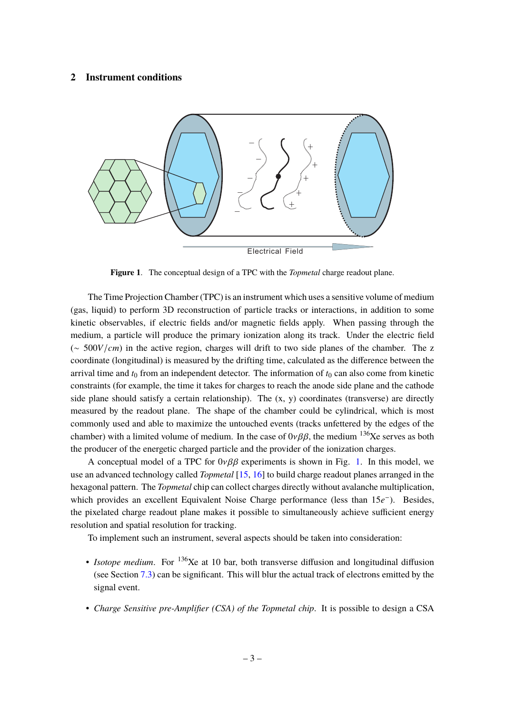## <span id="page-3-0"></span>**2 Instrument conditions**



<span id="page-3-1"></span>**Figure 1**. The conceptual design of a TPC with the *Topmetal* charge readout plane.

The Time Projection Chamber (TPC) is an instrument which uses a sensitive volume of medium (gas, liquid) to perform 3D reconstruction of particle tracks or interactions, in addition to some kinetic observables, if electric fields and/or magnetic fields apply. When passing through the medium, a particle will produce the primary ionization along its track. Under the electric field (∼ 500*V*/*cm*) in the active region, charges will drift to two side planes of the chamber. The z coordinate (longitudinal) is measured by the drifting time, calculated as the difference between the arrival time and  $t_0$  from an independent detector. The information of  $t_0$  can also come from kinetic constraints (for example, the time it takes for charges to reach the anode side plane and the cathode side plane should satisfy a certain relationship). The  $(x, y)$  coordinates (transverse) are directly measured by the readout plane. The shape of the chamber could be cylindrical, which is most commonly used and able to maximize the untouched events (tracks unfettered by the edges of the chamber) with a limited volume of medium. In the case of  $0\nu\beta\beta$ , the medium <sup>136</sup>Xe serves as both the producer of the energetic charged particle and the provider of the ionization charges.

A conceptual model of a TPC for  $0\nu\beta\beta$  experiments is shown in Fig. [1.](#page-3-1) In this model, we use an advanced technology called *Topmetal* [\[15,](#page-24-7) [16\]](#page-24-8) to build charge readout planes arranged in the hexagonal pattern. The *Topmetal* chip can collect charges directly without avalanche multiplication, which provides an excellent Equivalent Noise Charge performance (less than 15*e*<sup>-</sup>). Besides, the pixelated charge readout plane makes it possible to simultaneously achieve sufficient energy resolution and spatial resolution for tracking.

To implement such an instrument, several aspects should be taken into consideration:

- *Isotope medium*. For <sup>136</sup>Xe at 10 bar, both transverse diffusion and longitudinal diffusion (see Section [7.3\)](#page-16-0) can be significant. This will blur the actual track of electrons emitted by the signal event.
- *Charge Sensitive pre-Amplifier (CSA) of the Topmetal chip*. It is possible to design a CSA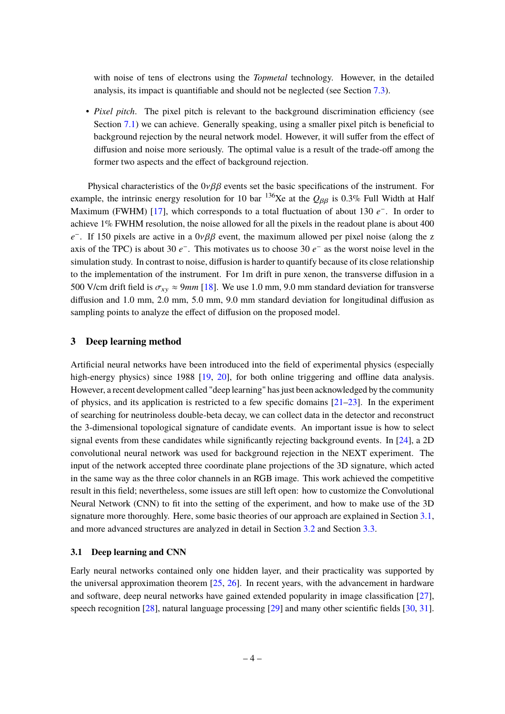with noise of tens of electrons using the *Topmetal* technology. However, in the detailed analysis, its impact is quantifiable and should not be neglected (see Section [7.3\)](#page-16-0).

• *Pixel pitch*. The pixel pitch is relevant to the background discrimination efficiency (see Section [7.1\)](#page-13-1) we can achieve. Generally speaking, using a smaller pixel pitch is beneficial to background rejection by the neural network model. However, it will suffer from the effect of diffusion and noise more seriously. The optimal value is a result of the trade-off among the former two aspects and the effect of background rejection.

Physical characteristics of the  $0\nu\beta\beta$  events set the basic specifications of the instrument. For example, the intrinsic energy resolution for 10 bar <sup>136</sup>Xe at the  $Q_{\beta\beta}$  is 0.3% Full Width at Half Maximum (FWHM) [\[17\]](#page-24-9), which corresponds to a total fluctuation of about 130 *e*<sup>−</sup>. In order to achieve 1% FWHM resolution, the noise allowed for all the pixels in the readout plane is about 400 *e*<sup>-</sup>. If 150 pixels are active in a  $0\nu\beta\beta$  event, the maximum allowed per pixel noise (along the z<br>exis of the TPC) is shout 20.5<sup>-</sup>. This matiustes us to shoose 20.5<sup>-</sup> so the worst poise layel in the axis of the TPC) is about 30  $e^-$ . This motivates us to choose 30  $e^-$  as the worst noise level in the simulation study. In contrast to noise, diffusion is harder to quantify because of its close relationship to the implementation of the instrument. For 1m drift in pure xenon, the transverse diffusion in a 500 V/cm drift field is  $\sigma_{xy} \approx 9$ *mm* [\[18\]](#page-24-10). We use 1.0 mm, 9.0 mm standard deviation for transverse diffusion and 1.0 mm, 2.0 mm, 5.0 mm, 9.0 mm standard deviation for longitudinal diffusion as sampling points to analyze the effect of diffusion on the proposed model.

## <span id="page-4-0"></span>**3 Deep learning method**

Artificial neural networks have been introduced into the field of experimental physics (especially high-energy physics) since 1988 [\[19,](#page-24-11) [20\]](#page-24-12), for both online triggering and offline data analysis. However, a recent development called "deep learning" has just been acknowledged by the community of physics, and its application is restricted to a few specific domains  $[21-23]$  $[21-23]$ . In the experiment of searching for neutrinoless double-beta decay, we can collect data in the detector and reconstruct the 3-dimensional topological signature of candidate events. An important issue is how to select signal events from these candidates while significantly rejecting background events. In [\[24\]](#page-25-1), a 2D convolutional neural network was used for background rejection in the NEXT experiment. The input of the network accepted three coordinate plane projections of the 3D signature, which acted in the same way as the three color channels in an RGB image. This work achieved the competitive result in this field; nevertheless, some issues are still left open: how to customize the Convolutional Neural Network (CNN) to fit into the setting of the experiment, and how to make use of the 3D signature more thoroughly. Here, some basic theories of our approach are explained in Section [3.1,](#page-4-1) and more advanced structures are analyzed in detail in Section [3.2](#page-5-0) and Section [3.3.](#page-7-0)

## <span id="page-4-1"></span>**3.1 Deep learning and CNN**

Early neural networks contained only one hidden layer, and their practicality was supported by the universal approximation theorem [\[25,](#page-25-2) [26\]](#page-25-3). In recent years, with the advancement in hardware and software, deep neural networks have gained extended popularity in image classification [\[27\]](#page-25-4), speech recognition [\[28\]](#page-25-5), natural language processing [\[29\]](#page-25-6) and many other scientific fields [\[30,](#page-25-7) [31\]](#page-25-8).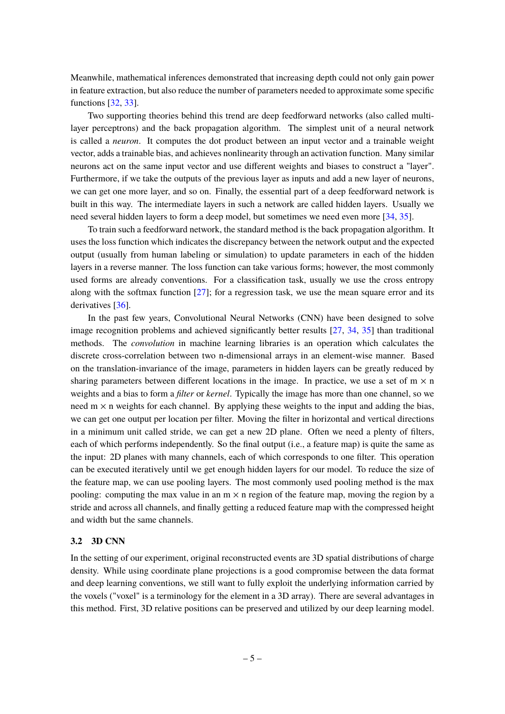Meanwhile, mathematical inferences demonstrated that increasing depth could not only gain power in feature extraction, but also reduce the number of parameters needed to approximate some specific functions [\[32,](#page-25-9) [33\]](#page-25-10).

Two supporting theories behind this trend are deep feedforward networks (also called multilayer perceptrons) and the back propagation algorithm. The simplest unit of a neural network is called a *neuron*. It computes the dot product between an input vector and a trainable weight vector, adds a trainable bias, and achieves nonlinearity through an activation function. Many similar neurons act on the same input vector and use different weights and biases to construct a "layer". Furthermore, if we take the outputs of the previous layer as inputs and add a new layer of neurons, we can get one more layer, and so on. Finally, the essential part of a deep feedforward network is built in this way. The intermediate layers in such a network are called hidden layers. Usually we need several hidden layers to form a deep model, but sometimes we need even more [\[34,](#page-25-11) [35\]](#page-25-12).

To train such a feedforward network, the standard method is the back propagation algorithm. It uses the loss function which indicates the discrepancy between the network output and the expected output (usually from human labeling or simulation) to update parameters in each of the hidden layers in a reverse manner. The loss function can take various forms; however, the most commonly used forms are already conventions. For a classification task, usually we use the cross entropy along with the softmax function [\[27\]](#page-25-4); for a regression task, we use the mean square error and its derivatives [\[36\]](#page-25-13).

In the past few years, Convolutional Neural Networks (CNN) have been designed to solve image recognition problems and achieved significantly better results [\[27,](#page-25-4) [34,](#page-25-11) [35\]](#page-25-12) than traditional methods. The *convolution* in machine learning libraries is an operation which calculates the discrete cross-correlation between two n-dimensional arrays in an element-wise manner. Based on the translation-invariance of the image, parameters in hidden layers can be greatly reduced by sharing parameters between different locations in the image. In practice, we use a set of  $m \times n$ weights and a bias to form a *filter* or *kernel*. Typically the image has more than one channel, so we need  $m \times n$  weights for each channel. By applying these weights to the input and adding the bias, we can get one output per location per filter. Moving the filter in horizontal and vertical directions in a minimum unit called stride, we can get a new 2D plane. Often we need a plenty of filters, each of which performs independently. So the final output (i.e., a feature map) is quite the same as the input: 2D planes with many channels, each of which corresponds to one filter. This operation can be executed iteratively until we get enough hidden layers for our model. To reduce the size of the feature map, we can use pooling layers. The most commonly used pooling method is the max pooling: computing the max value in an  $m \times n$  region of the feature map, moving the region by a stride and across all channels, and finally getting a reduced feature map with the compressed height and width but the same channels.

#### <span id="page-5-0"></span>**3.2 3D CNN**

In the setting of our experiment, original reconstructed events are 3D spatial distributions of charge density. While using coordinate plane projections is a good compromise between the data format and deep learning conventions, we still want to fully exploit the underlying information carried by the voxels ("voxel" is a terminology for the element in a 3D array). There are several advantages in this method. First, 3D relative positions can be preserved and utilized by our deep learning model.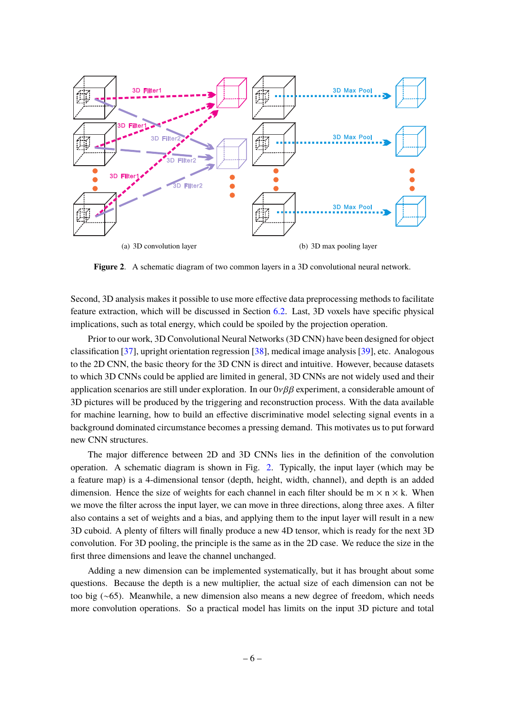

<span id="page-6-0"></span>**Figure 2**. A schematic diagram of two common layers in a 3D convolutional neural network.

Second, 3D analysis makes it possible to use more effective data preprocessing methods to facilitate feature extraction, which will be discussed in Section [6.2.](#page-11-2) Last, 3D voxels have specific physical implications, such as total energy, which could be spoiled by the projection operation.

Prior to our work, 3D Convolutional Neural Networks (3D CNN) have been designed for object classification [\[37\]](#page-25-14), upright orientation regression [\[38\]](#page-25-15), medical image analysis [\[39\]](#page-26-0), etc. Analogous to the 2D CNN, the basic theory for the 3D CNN is direct and intuitive. However, because datasets to which 3D CNNs could be applied are limited in general, 3D CNNs are not widely used and their application scenarios are still under exploration. In our  $0\nu\beta\beta$  experiment, a considerable amount of 3D pictures will be produced by the triggering and reconstruction process. With the data available for machine learning, how to build an effective discriminative model selecting signal events in a background dominated circumstance becomes a pressing demand. This motivates us to put forward new CNN structures.

The major difference between 2D and 3D CNNs lies in the definition of the convolution operation. A schematic diagram is shown in Fig. [2.](#page-6-0) Typically, the input layer (which may be a feature map) is a 4-dimensional tensor (depth, height, width, channel), and depth is an added dimension. Hence the size of weights for each channel in each filter should be  $m \times n \times k$ . When we move the filter across the input layer, we can move in three directions, along three axes. A filter also contains a set of weights and a bias, and applying them to the input layer will result in a new 3D cuboid. A plenty of filters will finally produce a new 4D tensor, which is ready for the next 3D convolution. For 3D pooling, the principle is the same as in the 2D case. We reduce the size in the first three dimensions and leave the channel unchanged.

Adding a new dimension can be implemented systematically, but it has brought about some questions. Because the depth is a new multiplier, the actual size of each dimension can not be too big (∼65). Meanwhile, a new dimension also means a new degree of freedom, which needs more convolution operations. So a practical model has limits on the input 3D picture and total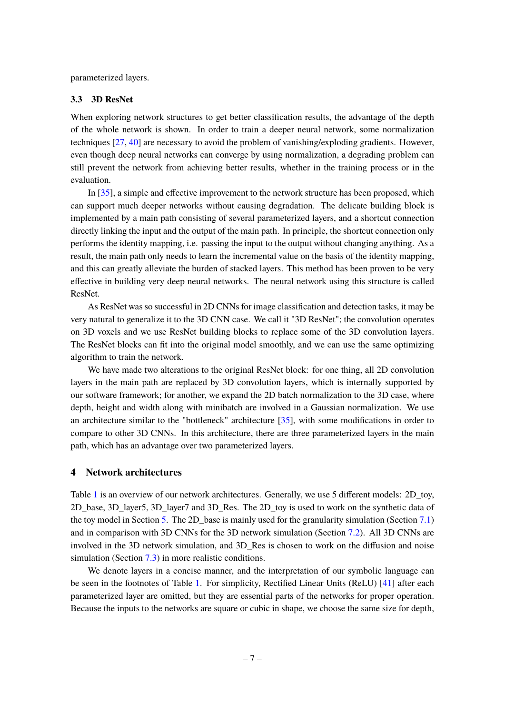parameterized layers.

#### <span id="page-7-0"></span>**3.3 3D ResNet**

When exploring network structures to get better classification results, the advantage of the depth of the whole network is shown. In order to train a deeper neural network, some normalization techniques [\[27,](#page-25-4) [40\]](#page-26-1) are necessary to avoid the problem of vanishing/exploding gradients. However, even though deep neural networks can converge by using normalization, a degrading problem can still prevent the network from achieving better results, whether in the training process or in the evaluation.

In [\[35\]](#page-25-12), a simple and effective improvement to the network structure has been proposed, which can support much deeper networks without causing degradation. The delicate building block is implemented by a main path consisting of several parameterized layers, and a shortcut connection directly linking the input and the output of the main path. In principle, the shortcut connection only performs the identity mapping, i.e. passing the input to the output without changing anything. As a result, the main path only needs to learn the incremental value on the basis of the identity mapping, and this can greatly alleviate the burden of stacked layers. This method has been proven to be very effective in building very deep neural networks. The neural network using this structure is called ResNet.

As ResNet was so successful in 2D CNNs for image classification and detection tasks, it may be very natural to generalize it to the 3D CNN case. We call it "3D ResNet"; the convolution operates on 3D voxels and we use ResNet building blocks to replace some of the 3D convolution layers. The ResNet blocks can fit into the original model smoothly, and we can use the same optimizing algorithm to train the network.

We have made two alterations to the original ResNet block: for one thing, all 2D convolution layers in the main path are replaced by 3D convolution layers, which is internally supported by our software framework; for another, we expand the 2D batch normalization to the 3D case, where depth, height and width along with minibatch are involved in a Gaussian normalization. We use an architecture similar to the "bottleneck" architecture [\[35\]](#page-25-12), with some modifications in order to compare to other 3D CNNs. In this architecture, there are three parameterized layers in the main path, which has an advantage over two parameterized layers.

## <span id="page-7-1"></span>**4 Network architectures**

Table [1](#page-8-0) is an overview of our network architectures. Generally, we use 5 different models: 2D\_toy, 2D\_base, 3D\_layer5, 3D\_layer7 and 3D\_Res. The 2D\_toy is used to work on the synthetic data of the toy model in Section [5.](#page-9-0) The 2D\_base is mainly used for the granularity simulation (Section [7.1\)](#page-13-1) and in comparison with 3D CNNs for the 3D network simulation (Section [7.2\)](#page-14-0). All 3D CNNs are involved in the 3D network simulation, and 3D\_Res is chosen to work on the diffusion and noise simulation (Section [7.3\)](#page-16-0) in more realistic conditions.

We denote layers in a concise manner, and the interpretation of our symbolic language can be seen in the footnotes of Table [1.](#page-8-0) For simplicity, Rectified Linear Units (ReLU) [\[41\]](#page-26-2) after each parameterized layer are omitted, but they are essential parts of the networks for proper operation. Because the inputs to the networks are square or cubic in shape, we choose the same size for depth,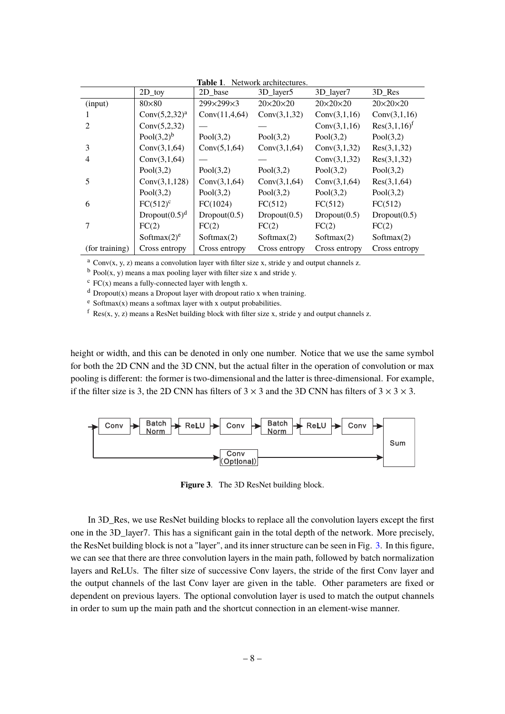<span id="page-8-0"></span>

| Tabit 1. Twww.kalentectures. |                   |                 |                      |                      |                      |  |  |
|------------------------------|-------------------|-----------------|----------------------|----------------------|----------------------|--|--|
|                              | $2D_{toy}$        | 2D_base         | 3D_layer5            | 3D_layer7            | 3D_Res               |  |  |
| (input)                      | $80\times80$      | 299×299×3       | $20\times20\times20$ | $20\times20\times20$ | $20\times20\times20$ |  |  |
|                              | Conv $(5,2,32)^a$ | Conv(11, 4, 64) | Conv(3,1,32)         | Conv(3,1,16)         | Conv(3,1,16)         |  |  |
| $\mathfrak{D}$               | Conv(5,2,32)      |                 |                      | Conv(3,1,16)         | $Res(3,1,16)^f$      |  |  |
|                              | Pool $(3,2)^b$    | Pool $(3,2)$    | Pool(3,2)            | Pool $(3,2)$         | Pool(3,2)            |  |  |
| 3                            | Conv(3,1,64)      | Conv(5,1,64)    | Conv(3,1,64)         | Conv(3,1,32)         | Res(3,1,32)          |  |  |
| 4                            | Conv(3,1,64)      |                 |                      | Conv(3,1,32)         | Res(3,1,32)          |  |  |
|                              | Pool $(3,2)$      | Pool $(3,2)$    | Pool(3,2)            | Pool $(3,2)$         | Pool $(3,2)$         |  |  |
| 5                            | Conv(3,1,128)     | Conv(3,1,64)    | Conv(3,1,64)         | Conv(3,1,64)         | Res(3,1,64)          |  |  |
|                              | Pool $(3,2)$      | Pool $(3,2)$    | Pool(3,2)            | Pool $(3,2)$         | Pool $(3,2)$         |  |  |
| 6                            | $FC(512)^c$       | FC(1024)        | FC(512)              | FC(512)              | FC(512)              |  |  |
|                              | Dropout $(0.5)^d$ | Dropout(0.5)    | Dropout(0.5)         | Dropout(0.5)         | Dropout(0.5)         |  |  |
| 7                            | FC(2)             | FC(2)           | FC(2)                | FC(2)                | FC(2)                |  |  |
|                              | Softmax $(2)^e$   | Softmax(2)      | Softmax(2)           | Softmax(2)           | Softmax(2)           |  |  |
| (for training)               | Cross entropy     | Cross entropy   | Cross entropy        | Cross entropy        | Cross entropy        |  |  |

**Table 1**. Network architectures.

<sup>a</sup> Conv(x, y, z) means a convolution layer with filter size x, stride y and output channels z.

 $\frac{b}{c}$  Pool(x, y) means a max pooling layer with filter size x and stride y.

 $c$  FC(x) means a fully-connected layer with length x.

 $d$  Dropout(x) means a Dropout layer with dropout ratio x when training.

 $e$  Softmax(x) means a softmax layer with x output probabilities.

f Res(x, y, z) means a ResNet building block with filter size x, stride y and output channels z.

height or width, and this can be denoted in only one number. Notice that we use the same symbol for both the 2D CNN and the 3D CNN, but the actual filter in the operation of convolution or max pooling is different: the former is two-dimensional and the latter is three-dimensional. For example, if the filter size is 3, the 2D CNN has filters of  $3 \times 3$  and the 3D CNN has filters of  $3 \times 3 \times 3$ .



<span id="page-8-1"></span>**Figure 3**. The 3D ResNet building block.

In 3D\_Res, we use ResNet building blocks to replace all the convolution layers except the first one in the 3D\_layer7. This has a significant gain in the total depth of the network. More precisely, the ResNet building block is not a "layer", and its inner structure can be seen in Fig. [3.](#page-8-1) In this figure, we can see that there are three convolution layers in the main path, followed by batch normalization layers and ReLUs. The filter size of successive Conv layers, the stride of the first Conv layer and the output channels of the last Conv layer are given in the table. Other parameters are fixed or dependent on previous layers. The optional convolution layer is used to match the output channels in order to sum up the main path and the shortcut connection in an element-wise manner.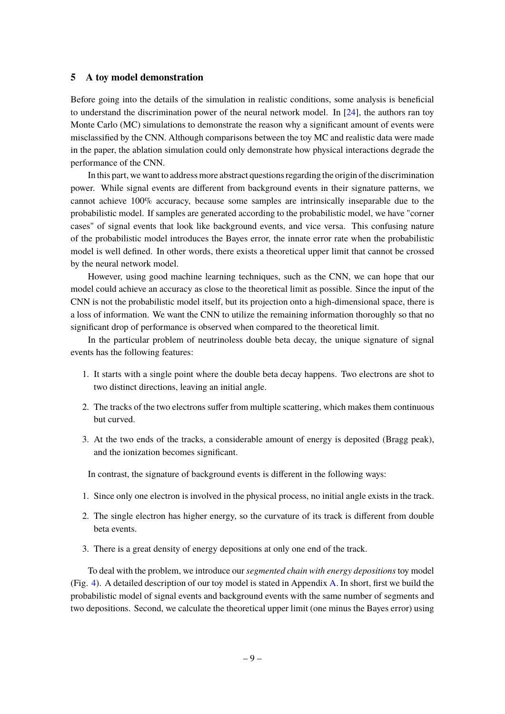#### <span id="page-9-0"></span>**5 A toy model demonstration**

Before going into the details of the simulation in realistic conditions, some analysis is beneficial to understand the discrimination power of the neural network model. In [\[24\]](#page-25-1), the authors ran toy Monte Carlo (MC) simulations to demonstrate the reason why a significant amount of events were misclassified by the CNN. Although comparisons between the toy MC and realistic data were made in the paper, the ablation simulation could only demonstrate how physical interactions degrade the performance of the CNN.

In this part, we want to address more abstract questions regarding the origin of the discrimination power. While signal events are different from background events in their signature patterns, we cannot achieve 100% accuracy, because some samples are intrinsically inseparable due to the probabilistic model. If samples are generated according to the probabilistic model, we have "corner cases" of signal events that look like background events, and vice versa. This confusing nature of the probabilistic model introduces the Bayes error, the innate error rate when the probabilistic model is well defined. In other words, there exists a theoretical upper limit that cannot be crossed by the neural network model.

However, using good machine learning techniques, such as the CNN, we can hope that our model could achieve an accuracy as close to the theoretical limit as possible. Since the input of the CNN is not the probabilistic model itself, but its projection onto a high-dimensional space, there is a loss of information. We want the CNN to utilize the remaining information thoroughly so that no significant drop of performance is observed when compared to the theoretical limit.

In the particular problem of neutrinoless double beta decay, the unique signature of signal events has the following features:

- 1. It starts with a single point where the double beta decay happens. Two electrons are shot to two distinct directions, leaving an initial angle.
- 2. The tracks of the two electrons suffer from multiple scattering, which makes them continuous but curved.
- 3. At the two ends of the tracks, a considerable amount of energy is deposited (Bragg peak), and the ionization becomes significant.

In contrast, the signature of background events is different in the following ways:

- 1. Since only one electron is involved in the physical process, no initial angle exists in the track.
- 2. The single electron has higher energy, so the curvature of its track is different from double beta events.
- 3. There is a great density of energy depositions at only one end of the track.

To deal with the problem, we introduce our *segmented chain with energy depositions* toy model (Fig. [4\)](#page-10-0). A detailed description of our toy model is stated in Appendix [A.](#page-18-1) In short, first we build the probabilistic model of signal events and background events with the same number of segments and two depositions. Second, we calculate the theoretical upper limit (one minus the Bayes error) using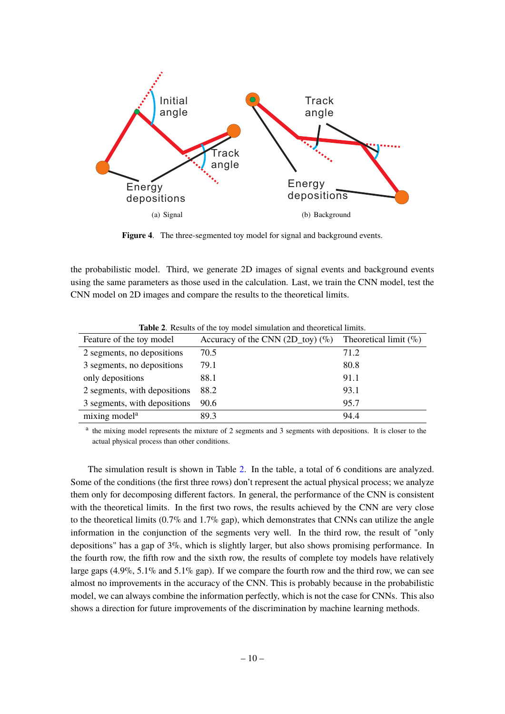

<span id="page-10-0"></span>**Figure 4**. The three-segmented toy model for signal and background events.

the probabilistic model. Third, we generate 2D images of signal events and background events using the same parameters as those used in the calculation. Last, we train the CNN model, test the CNN model on 2D images and compare the results to the theoretical limits.

<span id="page-10-1"></span>

| <b>TWORK Explored</b> of the to $\mu$ model bimurded and theoretical minitor |                                                 |                           |  |  |  |
|------------------------------------------------------------------------------|-------------------------------------------------|---------------------------|--|--|--|
| Feature of the toy model                                                     | Accuracy of the CNN $(2D_{\text{c}}$ toy) $(\%$ | Theoretical limit $(\% )$ |  |  |  |
| 2 segments, no depositions                                                   | 70.5                                            | 71.2                      |  |  |  |
| 3 segments, no depositions                                                   | 79.1                                            | 80.8                      |  |  |  |
| only depositions                                                             | 88.1                                            | 91.1                      |  |  |  |
| 2 segments, with depositions                                                 | 88.2                                            | 93.1                      |  |  |  |
| 3 segments, with depositions                                                 | 90.6                                            | 95.7                      |  |  |  |
| mixing model <sup>a</sup>                                                    | 89.3                                            | 94.4                      |  |  |  |

**Table 2**. Results of the toy model simulation and theoretical limits.

<sup>a</sup> the mixing model represents the mixture of 2 segments and 3 segments with depositions. It is closer to the actual physical process than other conditions.

The simulation result is shown in Table [2.](#page-10-1) In the table, a total of 6 conditions are analyzed. Some of the conditions (the first three rows) don't represent the actual physical process; we analyze them only for decomposing different factors. In general, the performance of the CNN is consistent with the theoretical limits. In the first two rows, the results achieved by the CNN are very close to the theoretical limits (0.7% and 1.7% gap), which demonstrates that CNNs can utilize the angle information in the conjunction of the segments very well. In the third row, the result of "only depositions" has a gap of 3%, which is slightly larger, but also shows promising performance. In the fourth row, the fifth row and the sixth row, the results of complete toy models have relatively large gaps  $(4.9\%, 5.1\%$  and  $5.1\%$  gap). If we compare the fourth row and the third row, we can see almost no improvements in the accuracy of the CNN. This is probably because in the probabilistic model, we can always combine the information perfectly, which is not the case for CNNs. This also shows a direction for future improvements of the discrimination by machine learning methods.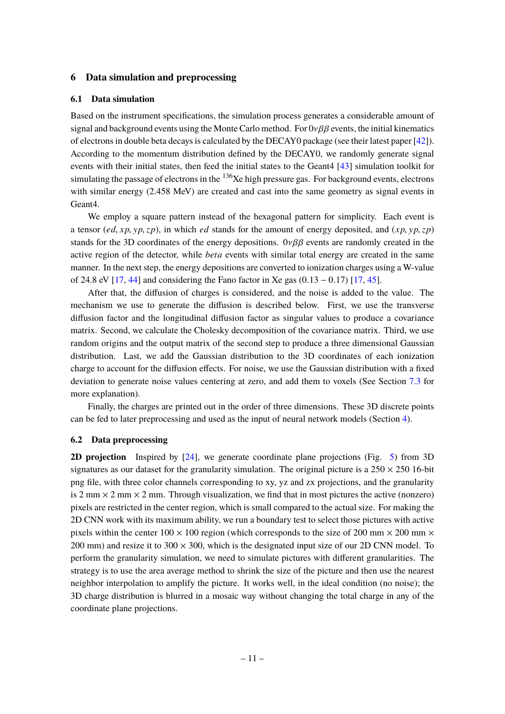### <span id="page-11-0"></span>**6 Data simulation and preprocessing**

#### <span id="page-11-1"></span>**6.1 Data simulation**

Based on the instrument specifications, the simulation process generates a considerable amount of signal and background events using the Monte Carlo method. For  $0\nu\beta\beta$  events, the initial kinematics of electrons in double beta decays is calculated by the DECAY0 package (see their latest paper [\[42\]](#page-26-3)). According to the momentum distribution defined by the DECAY0, we randomly generate signal events with their initial states, then feed the initial states to the Geant4 [\[43\]](#page-26-4) simulation toolkit for simulating the passage of electrons in the  $136Xe$  high pressure gas. For background events, electrons with similar energy (2.458 MeV) are created and cast into the same geometry as signal events in Geant4.

We employ a square pattern instead of the hexagonal pattern for simplicity. Each event is a tensor (*ed*, *xp*, <sup>y</sup>*p*, *zp*), in which *ed* stands for the amount of energy deposited, and (*xp*, <sup>y</sup>*p*, *zp*) stands for the 3D coordinates of the energy depositions.  $0\nu\beta\beta$  events are randomly created in the active region of the detector, while *beta* events with similar total energy are created in the same manner. In the next step, the energy depositions are converted to ionization charges using a W-value of 24.8 eV [\[17,](#page-24-9) [44\]](#page-26-5) and considering the Fano factor in Xe gas (0.<sup>13</sup> <sup>−</sup> <sup>0</sup>.17) [\[17,](#page-24-9) [45\]](#page-26-6).

After that, the diffusion of charges is considered, and the noise is added to the value. The mechanism we use to generate the diffusion is described below. First, we use the transverse diffusion factor and the longitudinal diffusion factor as singular values to produce a covariance matrix. Second, we calculate the Cholesky decomposition of the covariance matrix. Third, we use random origins and the output matrix of the second step to produce a three dimensional Gaussian distribution. Last, we add the Gaussian distribution to the 3D coordinates of each ionization charge to account for the diffusion effects. For noise, we use the Gaussian distribution with a fixed deviation to generate noise values centering at zero, and add them to voxels (See Section [7.3](#page-16-0) for more explanation).

Finally, the charges are printed out in the order of three dimensions. These 3D discrete points can be fed to later preprocessing and used as the input of neural network models (Section [4\)](#page-7-1).

## <span id="page-11-2"></span>**6.2 Data preprocessing**

**2D projection** Inspired by [\[24\]](#page-25-1), we generate coordinate plane projections (Fig. [5\)](#page-12-0) from 3D signatures as our dataset for the granularity simulation. The original picture is a  $250 \times 250$  16-bit png file, with three color channels corresponding to xy, yz and zx projections, and the granularity is 2 mm  $\times$  2 mm  $\times$  2 mm. Through visualization, we find that in most pictures the active (nonzero) pixels are restricted in the center region, which is small compared to the actual size. For making the 2D CNN work with its maximum ability, we run a boundary test to select those pictures with active pixels within the center  $100 \times 100$  region (which corresponds to the size of 200 mm  $\times$  200 mm  $\times$ 200 mm) and resize it to  $300 \times 300$ , which is the designated input size of our 2D CNN model. To perform the granularity simulation, we need to simulate pictures with different granularities. The strategy is to use the area average method to shrink the size of the picture and then use the nearest neighbor interpolation to amplify the picture. It works well, in the ideal condition (no noise); the 3D charge distribution is blurred in a mosaic way without changing the total charge in any of the coordinate plane projections.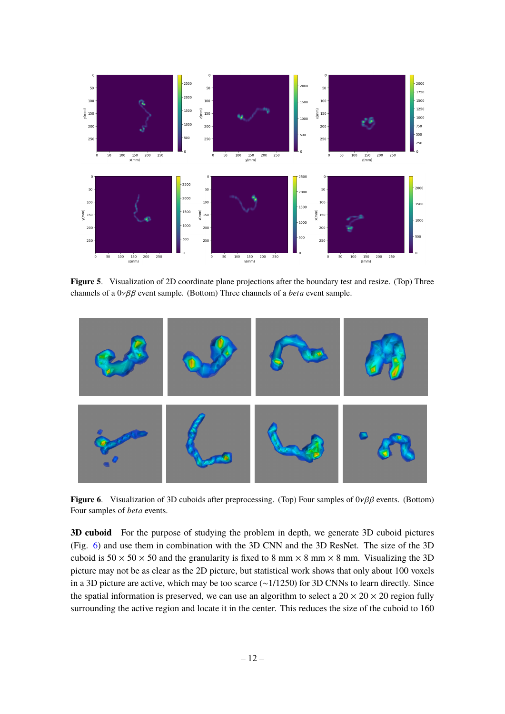

<span id="page-12-0"></span>**Figure 5**. Visualization of 2D coordinate plane projections after the boundary test and resize. (Top) Three channels of a <sup>0</sup>νββ event sample. (Bottom) Three channels of a *beta* event sample.



<span id="page-12-1"></span>**Figure 6.** Visualization of 3D cuboids after preprocessing. (Top) Four samples of  $0\nu\beta\beta$  events. (Bottom) Four samples of *beta* events.

**3D cuboid** For the purpose of studying the problem in depth, we generate 3D cuboid pictures (Fig. [6\)](#page-12-1) and use them in combination with the 3D CNN and the 3D ResNet. The size of the 3D cuboid is  $50 \times 50 \times 50$  and the granularity is fixed to 8 mm  $\times$  8 mm  $\times$  8 mm. Visualizing the 3D picture may not be as clear as the 2D picture, but statistical work shows that only about 100 voxels in a 3D picture are active, which may be too scarce (∼1/1250) for 3D CNNs to learn directly. Since the spatial information is preserved, we can use an algorithm to select a  $20 \times 20 \times 20$  region fully surrounding the active region and locate it in the center. This reduces the size of the cuboid to 160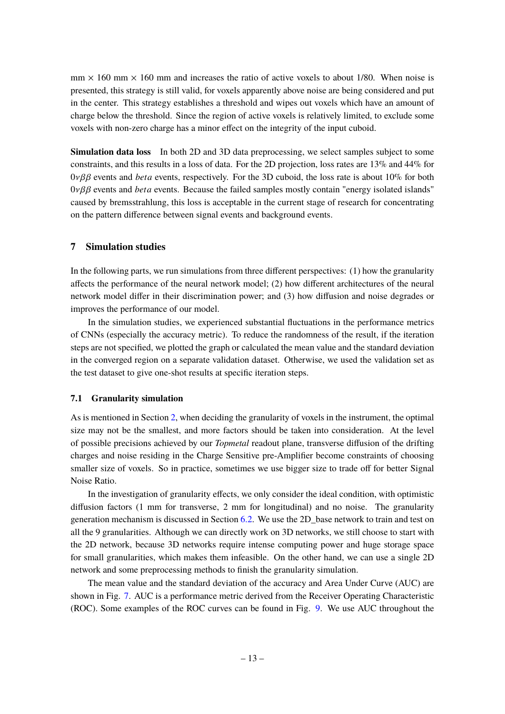$mm \times 160$  mm  $\times 160$  mm and increases the ratio of active voxels to about 1/80. When noise is presented, this strategy is still valid, for voxels apparently above noise are being considered and put in the center. This strategy establishes a threshold and wipes out voxels which have an amount of charge below the threshold. Since the region of active voxels is relatively limited, to exclude some voxels with non-zero charge has a minor effect on the integrity of the input cuboid.

**Simulation data loss** In both 2D and 3D data preprocessing, we select samples subject to some constraints, and this results in a loss of data. For the 2D projection, loss rates are 13% and 44% for <sup>0</sup>νββ events and *beta* events, respectively. For the 3D cuboid, the loss rate is about 10% for both <sup>0</sup>νββ events and *beta* events. Because the failed samples mostly contain "energy isolated islands" caused by bremsstrahlung, this loss is acceptable in the current stage of research for concentrating on the pattern difference between signal events and background events.

## <span id="page-13-0"></span>**7 Simulation studies**

In the following parts, we run simulations from three different perspectives: (1) how the granularity affects the performance of the neural network model; (2) how different architectures of the neural network model differ in their discrimination power; and (3) how diffusion and noise degrades or improves the performance of our model.

In the simulation studies, we experienced substantial fluctuations in the performance metrics of CNNs (especially the accuracy metric). To reduce the randomness of the result, if the iteration steps are not specified, we plotted the graph or calculated the mean value and the standard deviation in the converged region on a separate validation dataset. Otherwise, we used the validation set as the test dataset to give one-shot results at specific iteration steps.

#### <span id="page-13-1"></span>**7.1 Granularity simulation**

As is mentioned in Section [2,](#page-3-0) when deciding the granularity of voxels in the instrument, the optimal size may not be the smallest, and more factors should be taken into consideration. At the level of possible precisions achieved by our *Topmetal* readout plane, transverse diffusion of the drifting charges and noise residing in the Charge Sensitive pre-Amplifier become constraints of choosing smaller size of voxels. So in practice, sometimes we use bigger size to trade off for better Signal Noise Ratio.

In the investigation of granularity effects, we only consider the ideal condition, with optimistic diffusion factors (1 mm for transverse, 2 mm for longitudinal) and no noise. The granularity generation mechanism is discussed in Section [6.2.](#page-11-2) We use the 2D\_base network to train and test on all the 9 granularities. Although we can directly work on 3D networks, we still choose to start with the 2D network, because 3D networks require intense computing power and huge storage space for small granularities, which makes them infeasible. On the other hand, we can use a single 2D network and some preprocessing methods to finish the granularity simulation.

The mean value and the standard deviation of the accuracy and Area Under Curve (AUC) are shown in Fig. [7.](#page-14-1) AUC is a performance metric derived from the Receiver Operating Characteristic (ROC). Some examples of the ROC curves can be found in Fig. [9.](#page-16-1) We use AUC throughout the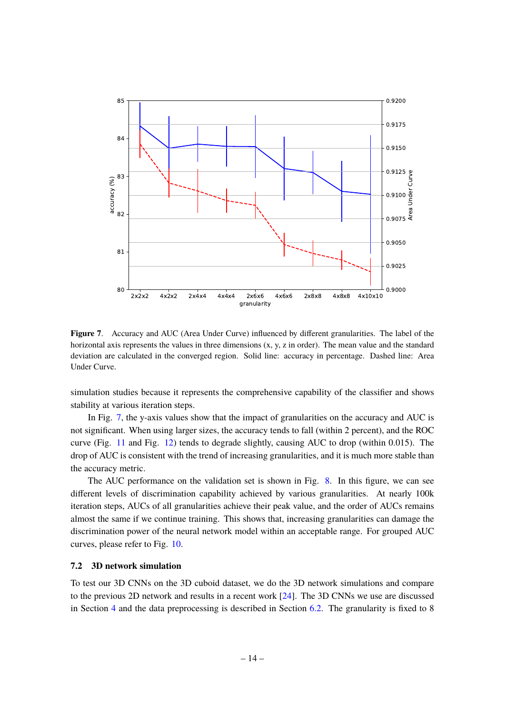

<span id="page-14-1"></span>**Figure 7**. Accuracy and AUC (Area Under Curve) influenced by different granularities. The label of the horizontal axis represents the values in three dimensions  $(x, y, z)$  in order). The mean value and the standard deviation are calculated in the converged region. Solid line: accuracy in percentage. Dashed line: Area Under Curve.

simulation studies because it represents the comprehensive capability of the classifier and shows stability at various iteration steps.

In Fig. [7,](#page-14-1) the y-axis values show that the impact of granularities on the accuracy and AUC is not significant. When using larger sizes, the accuracy tends to fall (within 2 percent), and the ROC curve (Fig. [11](#page-22-0) and Fig. [12\)](#page-22-1) tends to degrade slightly, causing AUC to drop (within 0.015). The drop of AUC is consistent with the trend of increasing granularities, and it is much more stable than the accuracy metric.

The AUC performance on the validation set is shown in Fig. [8.](#page-15-0) In this figure, we can see different levels of discrimination capability achieved by various granularities. At nearly 100k iteration steps, AUCs of all granularities achieve their peak value, and the order of AUCs remains almost the same if we continue training. This shows that, increasing granularities can damage the discrimination power of the neural network model within an acceptable range. For grouped AUC curves, please refer to Fig. [10.](#page-21-3)

### <span id="page-14-0"></span>**7.2 3D network simulation**

To test our 3D CNNs on the 3D cuboid dataset, we do the 3D network simulations and compare to the previous 2D network and results in a recent work [\[24\]](#page-25-1). The 3D CNNs we use are discussed in Section [4](#page-7-1) and the data preprocessing is described in Section [6.2.](#page-11-2) The granularity is fixed to 8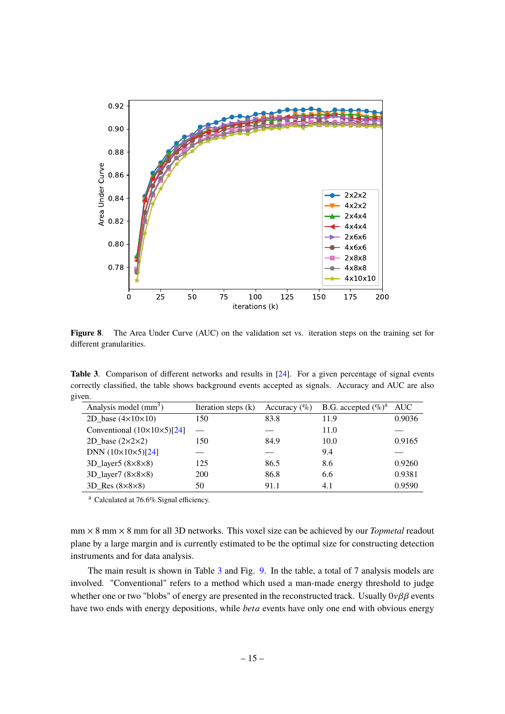

<span id="page-15-0"></span>**Figure 8**. The Area Under Curve (AUC) on the validation set vs. iteration steps on the training set for different granularities.

<span id="page-15-1"></span>**Table 3**. Comparison of different networks and results in [\[24\]](#page-25-1). For a given percentage of signal events correctly classified, the table shows background events accepted as signals. Accuracy and AUC are also given.

| Analysis model $(mm3)$                  | Iteration steps (k) | Accuracy $(\%)$ | B.G. accepted $(\%)^a$ | <b>AUC</b> |
|-----------------------------------------|---------------------|-----------------|------------------------|------------|
| 2D base $(4 \times 10 \times 10)$       | 150                 | 83.8            | 11.9                   | 0.9036     |
| Conventional $(10\times10\times5)[24]$  |                     |                 | 11.0                   |            |
| 2D_base $(2\times2\times2)$             | 150                 | 84.9            | 10.0                   | 0.9165     |
| $DNN (10 \times 10 \times 5)[24]$       |                     |                 | 9.4                    |            |
| $3D$ _layer5 (8×8×8)                    | 125                 | 86.5            | 8.6                    | 0.9260     |
| $3D$ _layer7 (8×8×8)                    | <b>200</b>          | 86.8            | 6.6                    | 0.9381     |
| $3D$ <sub>Res</sub> $(8\times8\times8)$ | 50                  | 91.1            | 4.1                    | 0.9590     |

<sup>a</sup> Calculated at 76.6% Signal efficiency.

mm × 8 mm × 8 mm for all 3D networks. This voxel size can be achieved by our *Topmetal* readout plane by a large margin and is currently estimated to be the optimal size for constructing detection instruments and for data analysis.

The main result is shown in Table [3](#page-15-1) and Fig. [9.](#page-16-1) In the table, a total of 7 analysis models are involved. "Conventional" refers to a method which used a man-made energy threshold to judge whether one or two "blobs" of energy are presented in the reconstructed track. Usually  $0\nu\beta\beta$  events have two ends with energy depositions, while *beta* events have only one end with obvious energy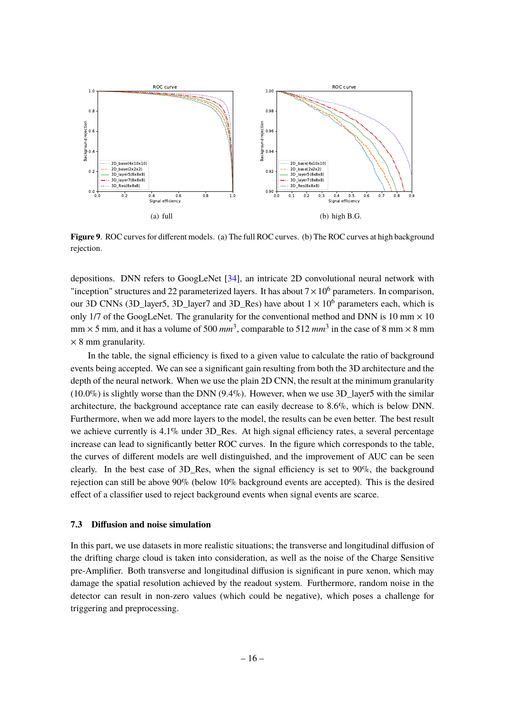

<span id="page-16-1"></span>**Figure 9**. ROC curves for different models. (a) The full ROC curves. (b) The ROC curves at high background rejection.

depositions. DNN refers to GoogLeNet [\[34\]](#page-25-11), an intricate 2D convolutional neural network with "inception" structures and 22 parameterized layers. It has about  $7 \times 10^6$  parameters. In comparison, our 3D CNNs (3D\_layer5, 3D\_layer7 and 3D\_Res) have about  $1 \times 10^6$  parameters each, which is only 1/7 of the GoogLeNet. The granularity for the conventional method and DNN is 10 mm  $\times$  10 mm  $\times$  5 mm, and it has a volume of 500 *mm*<sup>3</sup>, comparable to 512 *mm*<sup>3</sup> in the case of 8 mm  $\times$  8 mm  $\times$  8 mm granularity.

In the table, the signal efficiency is fixed to a given value to calculate the ratio of background events being accepted. We can see a significant gain resulting from both the 3D architecture and the depth of the neural network. When we use the plain 2D CNN, the result at the minimum granularity (10.0%) is slightly worse than the DNN (9.4%). However, when we use 3D\_layer5 with the similar architecture, the background acceptance rate can easily decrease to 8.6%, which is below DNN. Furthermore, when we add more layers to the model, the results can be even better. The best result we achieve currently is 4.1% under 3D Res. At high signal efficiency rates, a several percentage increase can lead to significantly better ROC curves. In the figure which corresponds to the table, the curves of different models are well distinguished, and the improvement of AUC can be seen clearly. In the best case of 3D Res, when the signal efficiency is set to  $90\%$ , the background rejection can still be above 90% (below 10% background events are accepted). This is the desired effect of a classifier used to reject background events when signal events are scarce.

## <span id="page-16-0"></span>**7.3 Diffusion and noise simulation**

In this part, we use datasets in more realistic situations; the transverse and longitudinal diffusion of the drifting charge cloud is taken into consideration, as well as the noise of the Charge Sensitive pre-Amplifier. Both transverse and longitudinal diffusion is significant in pure xenon, which may damage the spatial resolution achieved by the readout system. Furthermore, random noise in the detector can result in non-zero values (which could be negative), which poses a challenge for triggering and preprocessing.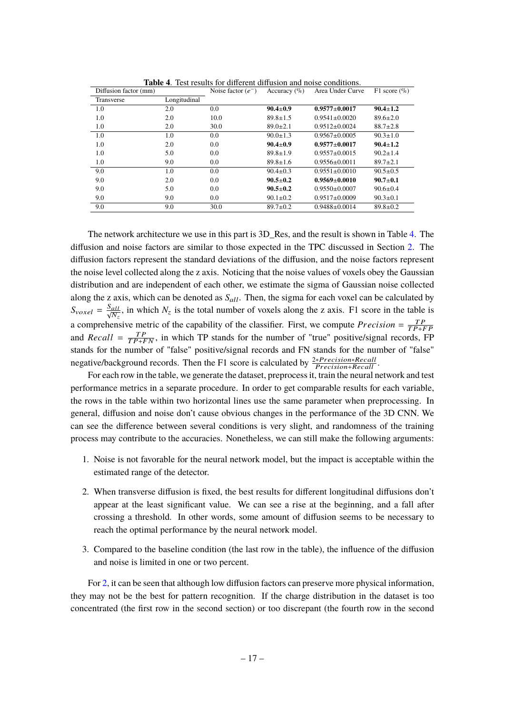<span id="page-17-0"></span>

| Diffusion factor (mm) |              | Noise factor $(e^-)$ | Accuracy $(\% )$ | Area Under Curve    | F1 score $(\%)$ |
|-----------------------|--------------|----------------------|------------------|---------------------|-----------------|
| Transverse            | Longitudinal |                      |                  |                     |                 |
| 1.0                   | 2.0          | 0.0                  | $90.4 \pm 0.9$   | $0.9577 + 0.0017$   | $90.4 \pm 1.2$  |
| 1.0                   | 2.0          | 10.0                 | $89.8 \pm 1.5$   | $0.9541 \pm 0.0020$ | $89.6 \pm 2.0$  |
| 1.0                   | 2.0          | 30.0                 | $89.0 \pm 2.1$   | $0.9512 \pm 0.0024$ | $88.7 \pm 2.8$  |
| 1.0                   | 1.0          | 0.0                  | $90.0 \pm 1.3$   | $0.9567 + 0.0005$   | $90.3 \pm 1.0$  |
| 1.0                   | 2.0          | 0.0                  | $90.4 \pm 0.9$   | $0.9577 + 0.0017$   | $90.4 \pm 1.2$  |
| 1.0                   | 5.0          | 0.0                  | $89.8 \pm 1.9$   | $0.9557+0.0015$     | $90.2 \pm 1.4$  |
| 1.0                   | 9.0          | 0.0                  | $89.8 \pm 1.6$   | $0.9556 \pm 0.0011$ | $89.7 \pm 2.1$  |
| 9.0                   | 1.0          | 0.0                  | $90.4 \pm 0.3$   | $0.9551 \pm 0.0010$ | $90.5 \pm 0.5$  |
| 9.0                   | 2.0          | 0.0                  | $90.5 \pm 0.2$   | $0.9569 + 0.0010$   | $90.7 + 0.1$    |
| 9.0                   | 5.0          | 0.0                  | $90.5 \pm 0.2$   | $0.9550+0.0007$     | $90.6 \pm 0.4$  |
| 9.0                   | 9.0          | 0.0                  | $90.1 \pm 0.2$   | $0.9517 \pm 0.0009$ | $90.3 \pm 0.1$  |
| 9.0                   | 9.0          | 30.0                 | $89.7 + 0.2$     | $0.9488 + 0.0014$   | $89.8 \pm 0.2$  |

**Table 4**. Test results for different diffusion and noise conditions.

The network architecture we use in this part is 3D Res, and the result is shown in Table [4.](#page-17-0) The diffusion and noise factors are similar to those expected in the TPC discussed in Section [2.](#page-3-0) The diffusion factors represent the standard deviations of the diffusion, and the noise factors represent the noise level collected along the z axis. Noticing that the noise values of voxels obey the Gaussian distribution and are independent of each other, we estimate the sigma of Gaussian noise collected along the z axis, which can be denoted as  $S_{all}$ . Then, the sigma for each voxel can be calculated by  $S_{voxel} = \frac{S_{all}}{\sqrt{N_z}}$ , in which  $N_z$  is the total number of voxels along the z axis. F1 score in the table is a comprehensive metric of the capability of the classifier. First, we compute *Precision* =  $\frac{TP}{TP+1}$  $TP+FP$ and *Recall* =  $\frac{TP}{TP+FN}$ , in which TP stands for the number of "true" positive/signal records, FP stands for the number of "false" positive/signal records and FN stands for the number of "false" negative/background records. Then the F1 score is calculated by  $\frac{2*Precision*Recall}{Precision+Recall}$ .

For each row in the table, we generate the dataset, preprocess it, train the neural network and test performance metrics in a separate procedure. In order to get comparable results for each variable, the rows in the table within two horizontal lines use the same parameter when preprocessing. In general, diffusion and noise don't cause obvious changes in the performance of the 3D CNN. We can see the difference between several conditions is very slight, and randomness of the training process may contribute to the accuracies. Nonetheless, we can still make the following arguments:

- 1. Noise is not favorable for the neural network model, but the impact is acceptable within the estimated range of the detector.
- <span id="page-17-1"></span>2. When transverse diffusion is fixed, the best results for different longitudinal diffusions don't appear at the least significant value. We can see a rise at the beginning, and a fall after crossing a threshold. In other words, some amount of diffusion seems to be necessary to reach the optimal performance by the neural network model.
- 3. Compared to the baseline condition (the last row in the table), the influence of the diffusion and noise is limited in one or two percent.

For [2,](#page-17-1) it can be seen that although low diffusion factors can preserve more physical information, they may not be the best for pattern recognition. If the charge distribution in the dataset is too concentrated (the first row in the second section) or too discrepant (the fourth row in the second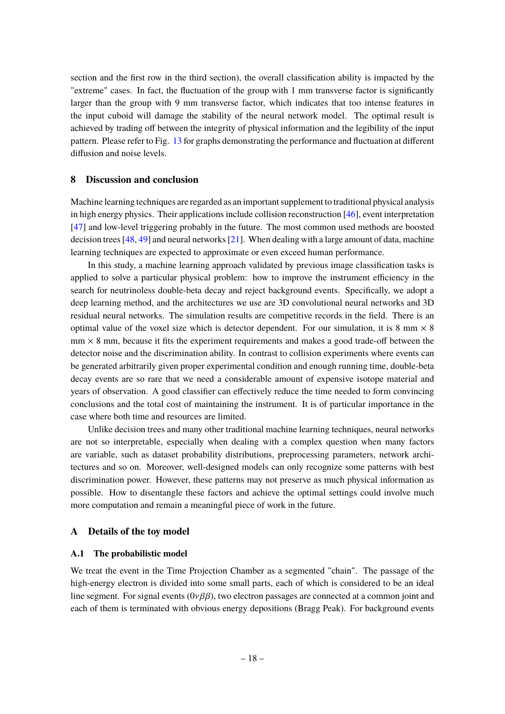section and the first row in the third section), the overall classification ability is impacted by the "extreme" cases. In fact, the fluctuation of the group with 1 mm transverse factor is significantly larger than the group with 9 mm transverse factor, which indicates that too intense features in the input cuboid will damage the stability of the neural network model. The optimal result is achieved by trading off between the integrity of physical information and the legibility of the input pattern. Please refer to Fig. [13](#page-23-3) for graphs demonstrating the performance and fluctuation at different diffusion and noise levels.

## <span id="page-18-0"></span>**8 Discussion and conclusion**

Machine learning techniques are regarded as an important supplement to traditional physical analysis in high energy physics. Their applications include collision reconstruction  $[46]$ , event interpretation [\[47\]](#page-26-8) and low-level triggering probably in the future. The most common used methods are boosted decision trees [\[48,](#page-26-9) [49\]](#page-26-10) and neural networks [\[21\]](#page-24-13). When dealing with a large amount of data, machine learning techniques are expected to approximate or even exceed human performance.

In this study, a machine learning approach validated by previous image classification tasks is applied to solve a particular physical problem: how to improve the instrument efficiency in the search for neutrinoless double-beta decay and reject background events. Specifically, we adopt a deep learning method, and the architectures we use are 3D convolutional neural networks and 3D residual neural networks. The simulation results are competitive records in the field. There is an optimal value of the voxel size which is detector dependent. For our simulation, it is  $8 \text{ mm} \times 8$  $mm \times 8$  mm, because it fits the experiment requirements and makes a good trade-off between the detector noise and the discrimination ability. In contrast to collision experiments where events can be generated arbitrarily given proper experimental condition and enough running time, double-beta decay events are so rare that we need a considerable amount of expensive isotope material and years of observation. A good classifier can effectively reduce the time needed to form convincing conclusions and the total cost of maintaining the instrument. It is of particular importance in the case where both time and resources are limited.

Unlike decision trees and many other traditional machine learning techniques, neural networks are not so interpretable, especially when dealing with a complex question when many factors are variable, such as dataset probability distributions, preprocessing parameters, network architectures and so on. Moreover, well-designed models can only recognize some patterns with best discrimination power. However, these patterns may not preserve as much physical information as possible. How to disentangle these factors and achieve the optimal settings could involve much more computation and remain a meaningful piece of work in the future.

#### <span id="page-18-1"></span>**A Details of the toy model**

#### <span id="page-18-2"></span>**A.1 The probabilistic model**

We treat the event in the Time Projection Chamber as a segmented "chain". The passage of the high-energy electron is divided into some small parts, each of which is considered to be an ideal line segment. For signal events  $(0\nu\beta\beta)$ , two electron passages are connected at a common joint and each of them is terminated with obvious energy depositions (Bragg Peak). For background events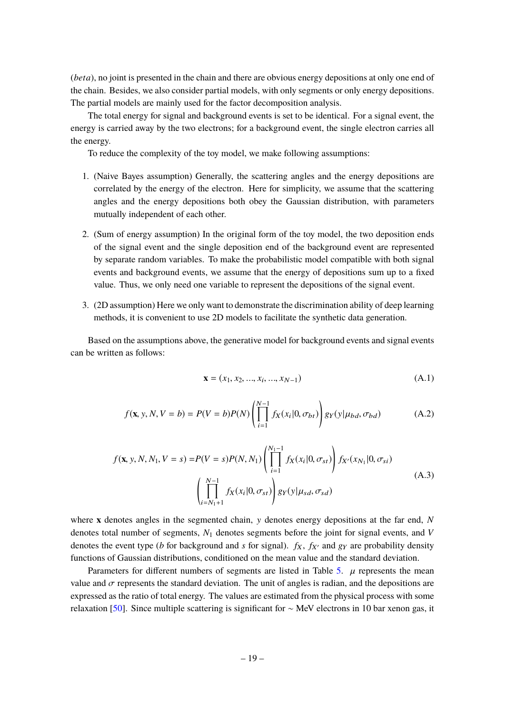(*beta*), no joint is presented in the chain and there are obvious energy depositions at only one end of the chain. Besides, we also consider partial models, with only segments or only energy depositions. The partial models are mainly used for the factor decomposition analysis.

The total energy for signal and background events is set to be identical. For a signal event, the energy is carried away by the two electrons; for a background event, the single electron carries all the energy.

To reduce the complexity of the toy model, we make following assumptions:

- 1. (Naive Bayes assumption) Generally, the scattering angles and the energy depositions are correlated by the energy of the electron. Here for simplicity, we assume that the scattering angles and the energy depositions both obey the Gaussian distribution, with parameters mutually independent of each other.
- 2. (Sum of energy assumption) In the original form of the toy model, the two deposition ends of the signal event and the single deposition end of the background event are represented by separate random variables. To make the probabilistic model compatible with both signal events and background events, we assume that the energy of depositions sum up to a fixed value. Thus, we only need one variable to represent the depositions of the signal event.
- 3. (2D assumption) Here we only want to demonstrate the discrimination ability of deep learning methods, it is convenient to use 2D models to facilitate the synthetic data generation.

Based on the assumptions above, the generative model for background events and signal events can be written as follows:

$$
\mathbf{x} = (x_1, x_2, ..., x_i, ..., x_{N-1})
$$
\n(A.1)

$$
f(\mathbf{x}, y, N, V = b) = P(V = b)P(N) \left( \prod_{i=1}^{N-1} f_X(x_i | 0, \sigma_{bt}) \right) g_Y(y | \mu_{bd}, \sigma_{bd})
$$
 (A.2)

$$
f(\mathbf{x}, y, N, N_1, V = s) = P(V = s)P(N, N_1) \left( \prod_{i=1}^{N_1 - 1} f_X(x_i | 0, \sigma_{st}) \right) f_{X'}(x_{N_1} | 0, \sigma_{si})
$$
  

$$
\left( \prod_{i=N_1+1}^{N-1} f_X(x_i | 0, \sigma_{st}) \right) g_Y(y | \mu_{sd}, \sigma_{sd})
$$
 (A.3)

where **x** denotes angles in the segmented chain, y denotes energy depositions at the far end, *N* denotes total number of segments, *N*<sup>1</sup> denotes segments before the joint for signal events, and *V* denotes the event type (*b* for background and *s* for signal).  $f_X$ ,  $f_{X'}$  and  $g_Y$  are probability density functions of Gaussian distributions, conditioned on the mean value and the standard deviation.

Parameters for different numbers of segments are listed in Table [5.](#page-20-1)  $\mu$  represents the mean value and  $\sigma$  represents the standard deviation. The unit of angles is radian, and the depositions are expressed as the ratio of total energy. The values are estimated from the physical process with some relaxation [\[50\]](#page-26-11). Since multiple scattering is significant for ∼ MeV electrons in 10 bar xenon gas, it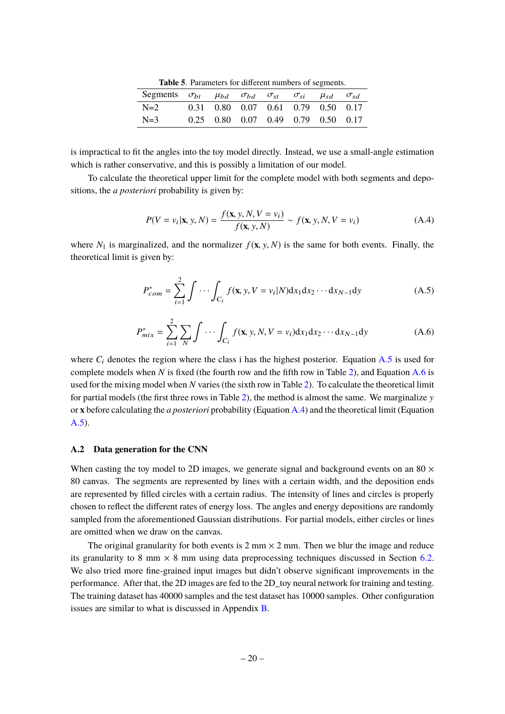**Table 5**. Parameters for different numbers of segments.

<span id="page-20-1"></span>

| Segments $\sigma_{bt}$ $\mu_{bd}$ $\sigma_{bd}$ $\sigma_{st}$ $\sigma_{si}$ |                                      |  | $\mu_{sd}$ $\sigma_{sd}$ |  |
|-----------------------------------------------------------------------------|--------------------------------------|--|--------------------------|--|
| $N=2$                                                                       | 0.31 0.80 0.07 0.61 0.79 0.50 0.17   |  |                          |  |
| $N=3$                                                                       | $0.25$ 0.80 0.07 0.49 0.79 0.50 0.17 |  |                          |  |

is impractical to fit the angles into the toy model directly. Instead, we use a small-angle estimation which is rather conservative, and this is possibly a limitation of our model.

To calculate the theoretical upper limit for the complete model with both segments and depositions, the *a posteriori* probability is given by:

<span id="page-20-4"></span>
$$
P(V = v_i | \mathbf{x}, y, N) = \frac{f(\mathbf{x}, y, N, V = v_i)}{f(\mathbf{x}, y, N)} \sim f(\mathbf{x}, y, N, V = v_i)
$$
(A.4)

where  $N_1$  is marginalized, and the normalizer  $f(\mathbf{x}, y, N)$  is the same for both events. Finally, the theoretical limit is given by:

<span id="page-20-2"></span>
$$
P_{com}^{*} = \sum_{i=1}^{2} \int \cdots \int_{C_i} f(\mathbf{x}, y, V = v_i | N) dx_1 dx_2 \cdots dx_{N-1} dy
$$
 (A.5)

<span id="page-20-3"></span>
$$
P_{mix}^* = \sum_{i=1}^{2} \sum_{N} \int \cdots \int_{C_i} f(\mathbf{x}, y, N, V = v_i) dx_1 dx_2 \cdots dx_{N-1} dy
$$
 (A.6)

where  $C_i$  denotes the region where the class i has the highest posterior. Equation  $A.5$  is used for complete models when *N* is fixed (the fourth row and the fifth row in Table [2\)](#page-10-1), and Equation [A.6](#page-20-3) is used for the mixing model when *N* varies (the sixth row in Table [2\)](#page-10-1). To calculate the theoretical limit for partial models (the first three rows in Table [2\)](#page-10-1), the method is almost the same. We marginalize  $y$ or **x** before calculating the *a posteriori* probability (Equation [A.4\)](#page-20-4) and the theoretical limit (Equation [A.5\)](#page-20-2).

#### <span id="page-20-0"></span>**A.2 Data generation for the CNN**

When casting the toy model to 2D images, we generate signal and background events on an 80  $\times$ 80 canvas. The segments are represented by lines with a certain width, and the deposition ends are represented by filled circles with a certain radius. The intensity of lines and circles is properly chosen to reflect the different rates of energy loss. The angles and energy depositions are randomly sampled from the aforementioned Gaussian distributions. For partial models, either circles or lines are omitted when we draw on the canvas.

The original granularity for both events is 2 mm  $\times$  2 mm. Then we blur the image and reduce its granularity to 8 mm  $\times$  8 mm using data preprocessing techniques discussed in Section [6.2.](#page-11-2) We also tried more fine-grained input images but didn't observe significant improvements in the performance. After that, the 2D images are fed to the 2D\_toy neural network for training and testing. The training dataset has 40000 samples and the test dataset has 10000 samples. Other configuration issues are similar to what is discussed in Appendix [B.](#page-21-0)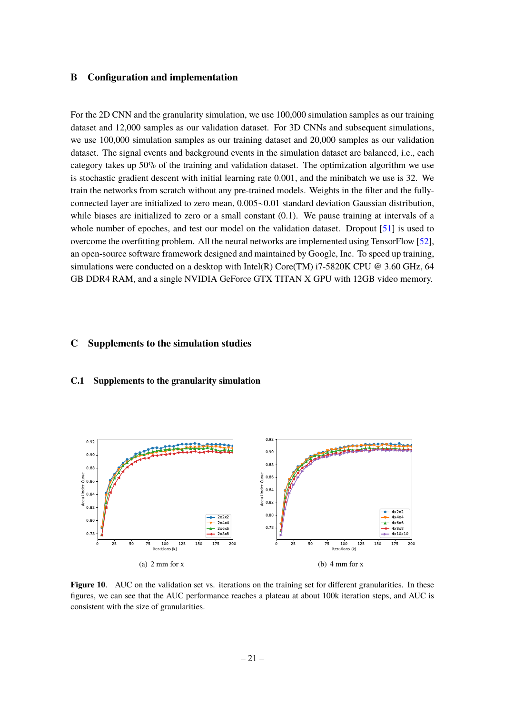#### <span id="page-21-0"></span>**B Configuration and implementation**

For the 2D CNN and the granularity simulation, we use 100,000 simulation samples as our training dataset and 12,000 samples as our validation dataset. For 3D CNNs and subsequent simulations, we use 100,000 simulation samples as our training dataset and 20,000 samples as our validation dataset. The signal events and background events in the simulation dataset are balanced, i.e., each category takes up 50% of the training and validation dataset. The optimization algorithm we use is stochastic gradient descent with initial learning rate 0.001, and the minibatch we use is 32. We train the networks from scratch without any pre-trained models. Weights in the filter and the fullyconnected layer are initialized to zero mean, 0.005∼0.01 standard deviation Gaussian distribution, while biases are initialized to zero or a small constant  $(0.1)$ . We pause training at intervals of a whole number of epoches, and test our model on the validation dataset. Dropout [\[51\]](#page-26-12) is used to overcome the overfitting problem. All the neural networks are implemented using TensorFlow [\[52\]](#page-26-13), an open-source software framework designed and maintained by Google, Inc. To speed up training, simulations were conducted on a desktop with Intel(R) Core(TM)  $i7-5820K$  CPU @ 3.60 GHz, 64 GB DDR4 RAM, and a single NVIDIA GeForce GTX TITAN X GPU with 12GB video memory.

## <span id="page-21-1"></span>**C Supplements to the simulation studies**

<span id="page-21-2"></span>



<span id="page-21-3"></span>Figure 10. AUC on the validation set vs. iterations on the training set for different granularities. In these figures, we can see that the AUC performance reaches a plateau at about 100k iteration steps, and AUC is consistent with the size of granularities.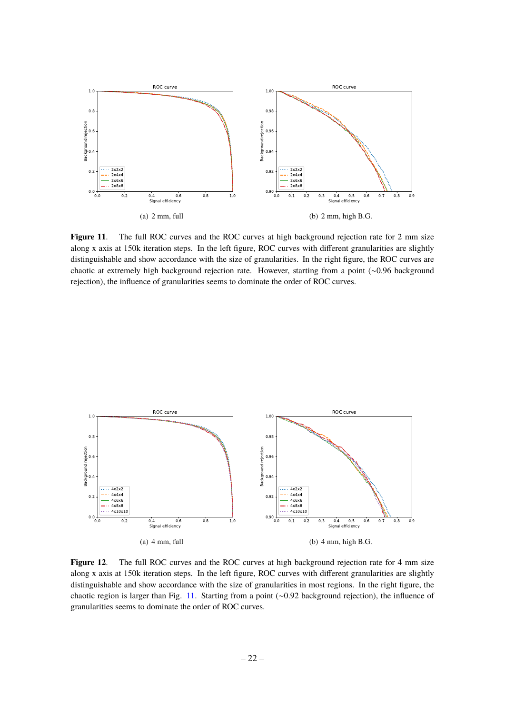

<span id="page-22-0"></span>**Figure 11.** The full ROC curves and the ROC curves at high background rejection rate for 2 mm size along x axis at 150k iteration steps. In the left figure, ROC curves with different granularities are slightly distinguishable and show accordance with the size of granularities. In the right figure, the ROC curves are chaotic at extremely high background rejection rate. However, starting from a point (∼0.96 background rejection), the influence of granularities seems to dominate the order of ROC curves.



<span id="page-22-1"></span>**Figure 12.** The full ROC curves and the ROC curves at high background rejection rate for 4 mm size along x axis at 150k iteration steps. In the left figure, ROC curves with different granularities are slightly distinguishable and show accordance with the size of granularities in most regions. In the right figure, the chaotic region is larger than Fig. [11.](#page-22-0) Starting from a point (∼0.92 background rejection), the influence of granularities seems to dominate the order of ROC curves.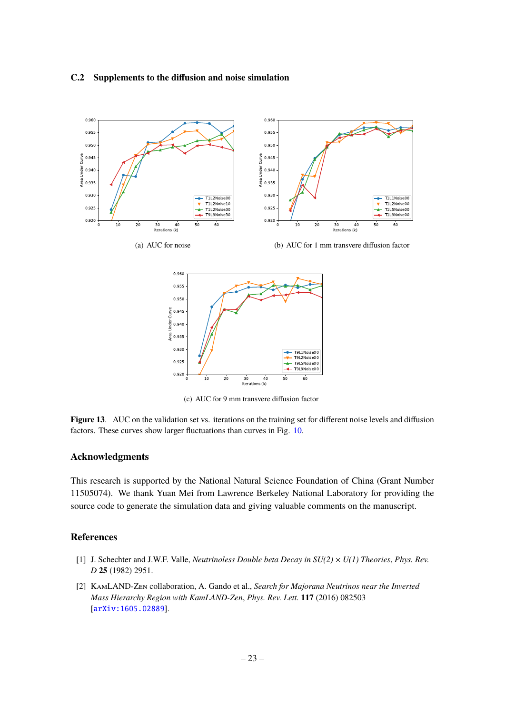## <span id="page-23-0"></span>**C.2 Supplements to the diffusion and noise simulation**



(a) AUC for noise

<span id="page-23-3"></span>(b) AUC for 1 mm transvere diffusion factor



(c) AUC for 9 mm transvere diffusion factor

**Figure 13**. AUC on the validation set vs. iterations on the training set for different noise levels and diffusion factors. These curves show larger fluctuations than curves in Fig. [10.](#page-21-3)

#### **Acknowledgments**

This research is supported by the National Natural Science Foundation of China (Grant Number 11505074). We thank Yuan Mei from Lawrence Berkeley National Laboratory for providing the source code to generate the simulation data and giving valuable comments on the manuscript.

## **References**

- <span id="page-23-1"></span>[1] J. Schechter and J.W.F. Valle, *Neutrinoless Double beta Decay in SU(2)* × *U(1) Theories*, *Phys. Rev. D* **25** (1982) 2951.
- <span id="page-23-2"></span>[2] KamLAND-Zen collaboration, A. Gando et al., *Search for Majorana Neutrinos near the Inverted Mass Hierarchy Region with KamLAND-Zen*, *Phys. Rev. Lett.* **117** (2016) 082503 [[arXiv:1605.02889](https://arxiv.org/abs/1605.02889)].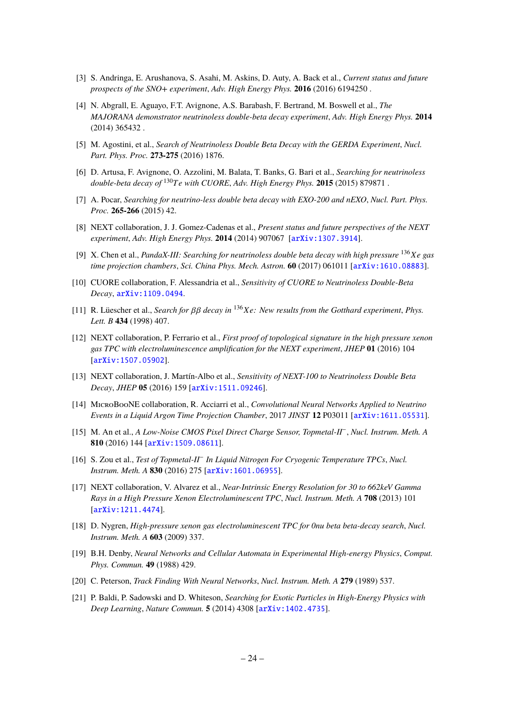- [3] S. Andringa, E. Arushanova, S. Asahi, M. Askins, D. Auty, A. Back et al., *Current status and future prospects of the SNO+ experiment*, *Adv. High Energy Phys.* **2016** (2016) 6194250 .
- [4] N. Abgrall, E. Aguayo, F.T. Avignone, A.S. Barabash, F. Bertrand, M. Boswell et al., *The MAJORANA demonstrator neutrinoless double-beta decay experiment*, *Adv. High Energy Phys.* **2014** (2014) 365432 .
- [5] M. Agostini, et al., *Search of Neutrinoless Double Beta Decay with the GERDA Experiment*, *Nucl. Part. Phys. Proc.* **273-275** (2016) 1876.
- [6] D. Artusa, F. Avignone, O. Azzolini, M. Balata, T. Banks, G. Bari et al., *Searching for neutrinoless double-beta decay of* <sup>130</sup>*T e with CUORE*, *Adv. High Energy Phys.* **2015** (2015) 879871 .
- <span id="page-24-0"></span>[7] A. Pocar, *Searching for neutrino-less double beta decay with EXO-200 and nEXO*, *Nucl. Part. Phys. Proc.* **265-266** (2015) 42.
- <span id="page-24-1"></span>[8] NEXT collaboration, J. J. Gomez-Cadenas et al., *Present status and future perspectives of the NEXT experiment*, *Adv. High Energy Phys.* **2014** (2014) 907067 [[arXiv:1307.3914](https://arxiv.org/abs/1307.3914)].
- <span id="page-24-2"></span>[9] X. Chen et al., *PandaX-III: Searching for neutrinoless double beta decay with high pressure* <sup>136</sup>*Xe gas time projection chambers*, *Sci. China Phys. Mech. Astron.* **60** (2017) 061011 [[arXiv:1610.08883](https://arxiv.org/abs/1610.08883)].
- <span id="page-24-3"></span>[10] CUORE collaboration, F. Alessandria et al., *Sensitivity of CUORE to Neutrinoless Double-Beta Decay*, [arXiv:1109.0494](https://arxiv.org/abs/1109.0494).
- <span id="page-24-4"></span>[11] R. Lüescher et al., *Search for* ββ *decay in* <sup>136</sup>*Xe: New results from the Gotthard experiment*, *Phys. Lett. B* **434** (1998) 407.
- [12] NEXT collaboration, P. Ferrario et al., *First proof of topological signature in the high pressure xenon gas TPC with electroluminescence amplification for the NEXT experiment*, *JHEP* **01** (2016) 104 [[arXiv:1507.05902](https://arxiv.org/abs/1507.05902)].
- <span id="page-24-5"></span>[13] NEXT collaboration, J. Martín-Albo et al., *Sensitivity of NEXT-100 to Neutrinoless Double Beta Decay*, *JHEP* **05** (2016) 159 [[arXiv:1511.09246](https://arxiv.org/abs/1511.09246)].
- <span id="page-24-6"></span>[14] MicroBooNE collaboration, R. Acciarri et al., *Convolutional Neural Networks Applied to Neutrino Events in a Liquid Argon Time Projection Chamber*, 2017 *JINST* **12** P03011 [[arXiv:1611.05531](https://arxiv.org/abs/1611.05531)].
- <span id="page-24-7"></span>[15] M. An et al., *A Low-Noise CMOS Pixel Direct Charge Sensor, Topmetal-II*<sup>−</sup> , *Nucl. Instrum. Meth. A* **810** (2016) 144 [[arXiv:1509.08611](https://arxiv.org/abs/1509.08611)].
- <span id="page-24-8"></span>[16] S. Zou et al., *Test of Topmetal-II*<sup>−</sup> *In Liquid Nitrogen For Cryogenic Temperature TPCs*, *Nucl. Instrum. Meth. A* **830** (2016) 275 [[arXiv:1601.06955](https://arxiv.org/abs/1601.06955)].
- <span id="page-24-9"></span>[17] NEXT collaboration, V. Alvarez et al., *Near-Intrinsic Energy Resolution for 30 to 662keV Gamma Rays in a High Pressure Xenon Electroluminescent TPC*, *Nucl. Instrum. Meth. A* **708** (2013) 101 [[arXiv:1211.4474](https://arxiv.org/abs/1211.4474)].
- <span id="page-24-10"></span>[18] D. Nygren, *High-pressure xenon gas electroluminescent TPC for 0nu beta beta-decay search*, *Nucl. Instrum. Meth. A* **603** (2009) 337.
- <span id="page-24-11"></span>[19] B.H. Denby, *Neural Networks and Cellular Automata in Experimental High-energy Physics*, *Comput. Phys. Commun.* **49** (1988) 429.
- <span id="page-24-12"></span>[20] C. Peterson, *Track Finding With Neural Networks*, *Nucl. Instrum. Meth. A* **279** (1989) 537.
- <span id="page-24-13"></span>[21] P. Baldi, P. Sadowski and D. Whiteson, *Searching for Exotic Particles in High-Energy Physics with Deep Learning*, *Nature Commun.* **5** (2014) 4308 [[arXiv:1402.4735](https://arxiv.org/abs/1402.4735)].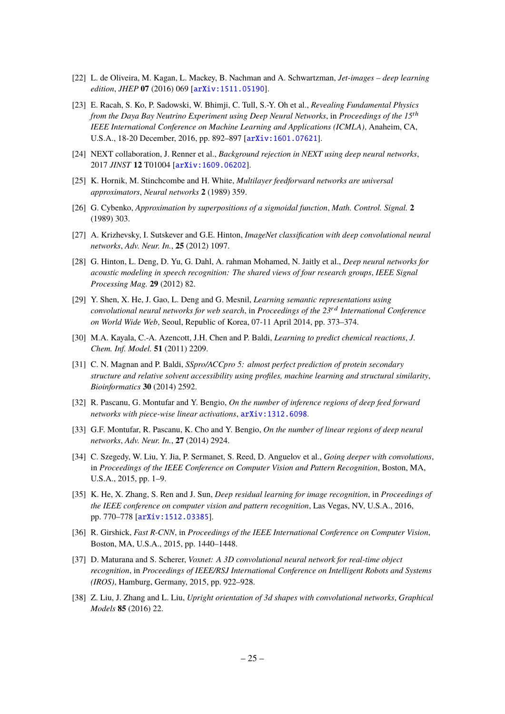- [22] L. de Oliveira, M. Kagan, L. Mackey, B. Nachman and A. Schwartzman, *Jet-images deep learning edition*, *JHEP* **07** (2016) 069 [[arXiv:1511.05190](https://arxiv.org/abs/1511.05190)].
- <span id="page-25-0"></span>[23] E. Racah, S. Ko, P. Sadowski, W. Bhimji, C. Tull, S.-Y. Oh et al., *Revealing Fundamental Physics from the Daya Bay Neutrino Experiment using Deep Neural Networks*, in *Proceedings of the 15*th *IEEE International Conference on Machine Learning and Applications (ICMLA)*, Anaheim, CA, U.S.A., 18-20 December, 2016, pp. 892–897 [[arXiv:1601.07621](https://arxiv.org/abs/1601.07621)].
- <span id="page-25-1"></span>[24] NEXT collaboration, J. Renner et al., *Background rejection in NEXT using deep neural networks*, 2017 *JINST* **12** T01004 [[arXiv:1609.06202](https://arxiv.org/abs/1609.06202)].
- <span id="page-25-2"></span>[25] K. Hornik, M. Stinchcombe and H. White, *Multilayer feedforward networks are universal approximators*, *Neural networks* **2** (1989) 359.
- <span id="page-25-3"></span>[26] G. Cybenko, *Approximation by superpositions of a sigmoidal function*, *Math. Control. Signal.* **2** (1989) 303.
- <span id="page-25-4"></span>[27] A. Krizhevsky, I. Sutskever and G.E. Hinton, *ImageNet classification with deep convolutional neural networks*, *Adv. Neur. In.*, **25** (2012) 1097.
- <span id="page-25-5"></span>[28] G. Hinton, L. Deng, D. Yu, G. Dahl, A. rahman Mohamed, N. Jaitly et al., *Deep neural networks for acoustic modeling in speech recognition: The shared views of four research groups*, *IEEE Signal Processing Mag.* **29** (2012) 82.
- <span id="page-25-6"></span>[29] Y. Shen, X. He, J. Gao, L. Deng and G. Mesnil, *Learning semantic representations using convolutional neural networks for web search*, in *Proceedings of the 23<sup>rd</sup> International Conference on World Wide Web*, Seoul, Republic of Korea, 07-11 April 2014, pp. 373–374.
- <span id="page-25-7"></span>[30] M.A. Kayala, C.-A. Azencott, J.H. Chen and P. Baldi, *Learning to predict chemical reactions*, *J. Chem. Inf. Model.* **51** (2011) 2209.
- <span id="page-25-8"></span>[31] C. N. Magnan and P. Baldi, *SSpro/ACCpro 5: almost perfect prediction of protein secondary structure and relative solvent accessibility using profiles, machine learning and structural similarity*, *Bioinformatics* **30** (2014) 2592.
- <span id="page-25-9"></span>[32] R. Pascanu, G. Montufar and Y. Bengio, *On the number of inference regions of deep feed forward networks with piece-wise linear activations*, [arXiv:1312.6098](https://arxiv.org/abs/1312.6098).
- <span id="page-25-10"></span>[33] G.F. Montufar, R. Pascanu, K. Cho and Y. Bengio, *On the number of linear regions of deep neural networks*, *Adv. Neur. In.*, **27** (2014) 2924.
- <span id="page-25-11"></span>[34] C. Szegedy, W. Liu, Y. Jia, P. Sermanet, S. Reed, D. Anguelov et al., *Going deeper with convolutions*, in *Proceedings of the IEEE Conference on Computer Vision and Pattern Recognition*, Boston, MA, U.S.A., 2015, pp. 1–9.
- <span id="page-25-12"></span>[35] K. He, X. Zhang, S. Ren and J. Sun, *Deep residual learning for image recognition*, in *Proceedings of the IEEE conference on computer vision and pattern recognition*, Las Vegas, NV, U.S.A., 2016, pp. 770–778 [[arXiv:1512.03385](https://arxiv.org/abs/1512.03385)].
- <span id="page-25-13"></span>[36] R. Girshick, *Fast R-CNN*, in *Proceedings of the IEEE International Conference on Computer Vision*, Boston, MA, U.S.A., 2015, pp. 1440–1448.
- <span id="page-25-14"></span>[37] D. Maturana and S. Scherer, *Voxnet: A 3D convolutional neural network for real-time object recognition*, in *Proceedings of IEEE/RSJ International Conference on Intelligent Robots and Systems (IROS)*, Hamburg, Germany, 2015, pp. 922–928.
- <span id="page-25-15"></span>[38] Z. Liu, J. Zhang and L. Liu, *Upright orientation of 3d shapes with convolutional networks*, *Graphical Models* **85** (2016) 22.